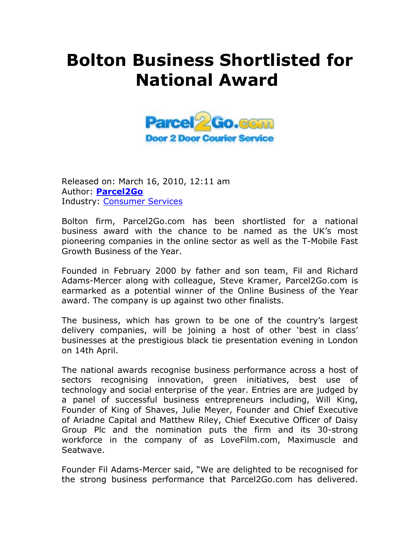## **Bolton Business Shortlisted for National Award**



Released on: March 16, 2010, 12:11 am Author: **Parcel2Go** Industry: Consumer Services

Bolton firm, Parcel2Go.com has been shortlisted for a national business award with the chance to be named as the UK's most pioneering companies in the online sector as well as the T-Mobile Fast Growth Business of the Year.

Founded in February 2000 by father and son team, Fil and Richard Adams-Mercer along with colleague, Steve Kramer, Parcel2Go.com is earmarked as a potential winner of the Online Business of the Year award. The company is up against two other finalists.

The business, which has grown to be one of the country's largest delivery companies, will be joining a host of other 'best in class' businesses at the prestigious black tie presentation evening in London on 14th April.

The national awards recognise business performance across a host of sectors recognising innovation, green initiatives, best use of technology and social enterprise of the year. Entries are are judged by a panel of successful business entrepreneurs including, Will King, Founder of King of Shaves, Julie Meyer, Founder and Chief Executive of Ariadne Capital and Matthew Riley, Chief Executive Officer of Daisy Group Plc and the nomination puts the firm and its 30-strong workforce in the company of as LoveFilm.com, Maximuscle and Seatwave.

Founder Fil Adams-Mercer said, "We are delighted to be recognised for the strong business performance that Parcel2Go.com has delivered.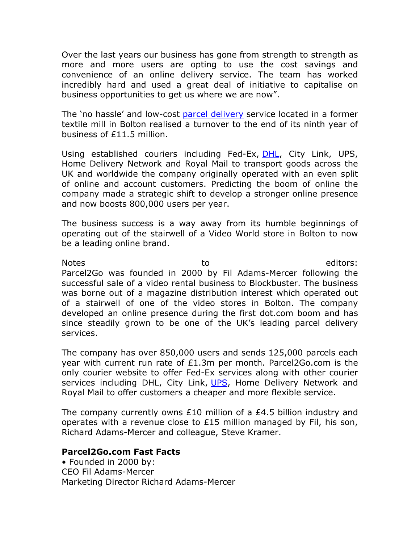Over the last years our business has gone from strength to strength as more and more users are opting to use the cost savings and convenience of an online delivery service. The team has worked incredibly hard and used a great deal of initiative to capitalise on business opportunities to get us where we are now".

The 'no hassle' and low-cost parcel delivery service located in a former textile mill in Bolton realised a turnover to the end of its ninth year of business of £11.5 million.

Using established couriers including Fed-Ex, **DHL**, City Link, UPS, Home Delivery Network and Royal Mail to transport goods across the UK and worldwide the company originally operated with an even split of online and account customers. Predicting the boom of online the company made a strategic shift to develop a stronger online presence and now boosts 800,000 users per year.

The business success is a way away from its humble beginnings of operating out of the stairwell of a Video World store in Bolton to now be a leading online brand.

Notes editors: to to the editors: Parcel2Go was founded in 2000 by Fil Adams-Mercer following the successful sale of a video rental business to Blockbuster. The business was borne out of a magazine distribution interest which operated out of a stairwell of one of the video stores in Bolton. The company developed an online presence during the first dot.com boom and has since steadily grown to be one of the UK's leading parcel delivery services.

The company has over 850,000 users and sends 125,000 parcels each year with current run rate of £1.3m per month. Parcel2Go.com is the only courier website to offer Fed-Ex services along with other courier services including DHL, City Link, UPS, Home Delivery Network and Royal Mail to offer customers a cheaper and more flexible service.

The company currently owns £10 million of a £4.5 billion industry and operates with a revenue close to £15 million managed by Fil, his son, Richard Adams-Mercer and colleague, Steve Kramer.

## **Parcel2Go.com Fast Facts**

• Founded in 2000 by: CEO Fil Adams-Mercer Marketing Director Richard Adams-Mercer